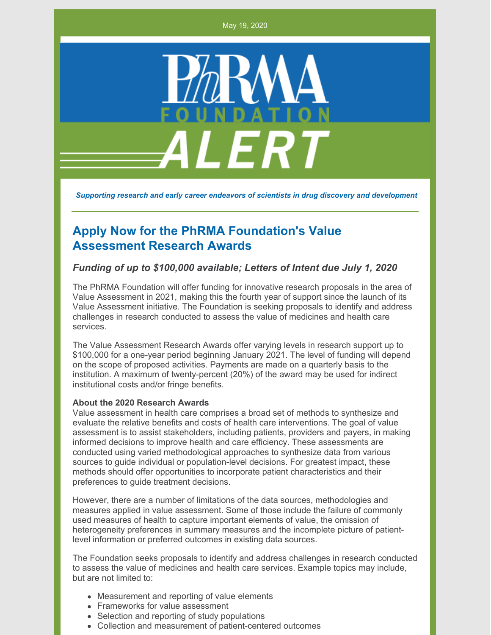May 19, 2020



*Supporting research and early career endeavors of scientists in drug discovery and development*

# **Apply Now for the PhRMA Foundation's Value Assessment Research Awards**

## *Funding of up to \$100,000 available; Letters of Intent due July 1, 2020*

The PhRMA Foundation will offer funding for innovative research proposals in the area of Value Assessment in 2021, making this the fourth year of support since the launch of its Value Assessment initiative. The Foundation is seeking proposals to identify and address challenges in research conducted to assess the value of medicines and health care services.

The Value Assessment Research Awards offer varying levels in research support up to \$100,000 for a one-year period beginning January 2021. The level of funding will depend on the scope of proposed activities. Payments are made on a quarterly basis to the institution. A maximum of twenty-percent (20%) of the award may be used for indirect institutional costs and/or fringe benefits.

### **About the 2020 Research Awards**

Value assessment in health care comprises a broad set of methods to synthesize and evaluate the relative benefits and costs of health care interventions. The goal of value assessment is to assist stakeholders, including patients, providers and payers, in making informed decisions to improve health and care efficiency. These assessments are conducted using varied methodological approaches to synthesize data from various sources to guide individual or population-level decisions. For greatest impact, these methods should offer opportunities to incorporate patient characteristics and their preferences to guide treatment decisions.

However, there are a number of limitations of the data sources, methodologies and measures applied in value assessment. Some of those include the failure of commonly used measures of health to capture important elements of value, the omission of heterogeneity preferences in summary measures and the incomplete picture of patientlevel information or preferred outcomes in existing data sources.

The Foundation seeks proposals to identify and address challenges in research conducted to assess the value of medicines and health care services. Example topics may include, but are not limited to:

- Measurement and reporting of value elements
- Frameworks for value assessment
- Selection and reporting of study populations
- Collection and measurement of patient-centered outcomes